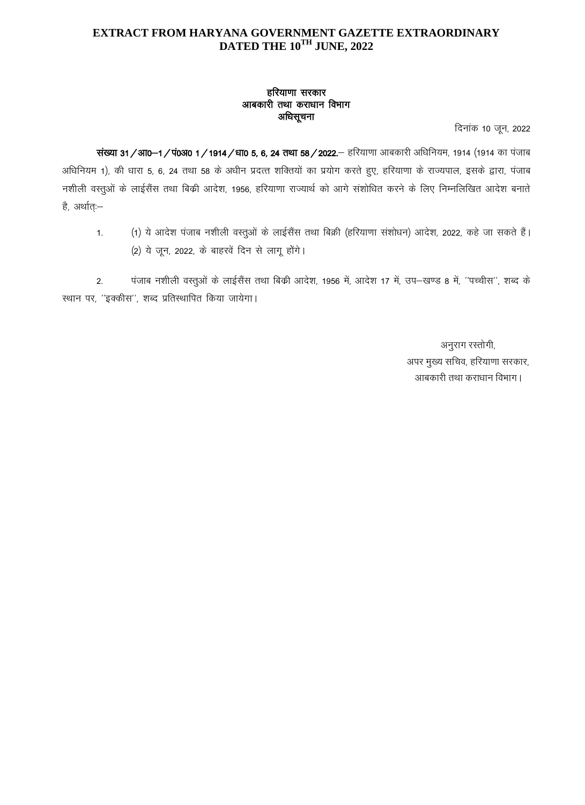## EXTRACT FROM HARYANA GOVERNMENT GAZETTE EXTRAORDINARY DATED THE 10TH JUNE, 2022

## हरियाणा सरकार आबकारी तथा कराधान विभाग अधिसूचना

दिनांक 10 जून, 2022

संख्या 31 / आ0–1 / पं0अ0 1 / 1914 / धा0 5, 6, 24 तथा 58 / 2022.— हरियाणा आबकारी अधिनियम, 1914 (1914 का पंजाब अधिनियम 1), की धारा 5, 6, 24 तथा 58 के अधीन प्रदत्त शक्तियों का प्रयोग करते हुए, हरियाणा के राज्यपाल, इसके द्वारा, पंजाब नशीली वस्तुओं के लाईसैंस तथा बिक्री आदेश, 1956, हरियाणा राज्यार्थ को आगे संशोधित करने के लिए निम्नलिखित आदेश बनाते है, अर्थात:–

(1) ये आदेश पंजाब नशीली वस्तुओं के लाईसैंस तथा बिक्री (हरियाणा संशोधन) आदेश, 2022, कहे जा सकते हैं।  $1.$ (2) ये जून, 2022, के बाहरवें दिन से लागू होंगे।

पंजाब नशीली वस्तुओं के लाईसैंस तथा बिक्री आदेश, 1956 में, आदेश 17 में, उप–खण्ड 8 में, ''पच्चीस'', शब्द के  $2.$ स्थान पर, "इक्कीस", शब्द प्रतिस्थापित किया जायेगा।

> अनुराग रस्तोगी, अपर मुख्य सचिव, हरियाणा सरकार, आबकारी तथा कराधान विभाग।